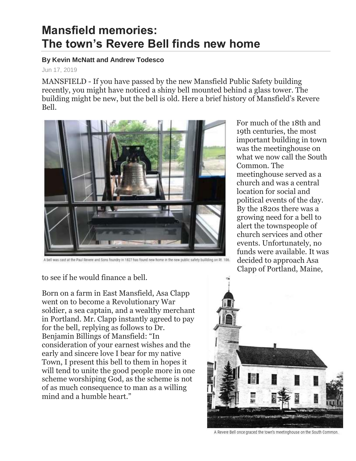## **Mansfield memories: The town's Revere Bell finds new home**

## **By Kevin McNatt and Andrew Todesco**

## Jun 17, 2019

MANSFIELD - If you have passed by the new Mansfield Public Safety building recently, you might have noticed a shiny bell mounted behind a glass tower. The building might be new, but the bell is old. Here a brief history of Mansfield's Revere Bell.



For much of the 18th and 19th centuries, the most important building in town was the meetinghouse on what we now call the South Common. The meetinghouse served as a church and was a central location for social and political events of the day. By the 1820s there was a growing need for a bell to alert the townspeople of church services and other events. Unfortunately, no funds were available. It was decided to approach Asa Clapp of Portland, Maine,

A bell was cast at the Paul Revere and Sons foundry in 1827 has found new home in the new public safety building on Rt. 106.

to see if he would finance a bell.

Born on a farm in East Mansfield, Asa Clapp went on to become a Revolutionary War soldier, a sea captain, and a wealthy merchant in Portland. Mr. Clapp instantly agreed to pay for the bell, replying as follows to Dr. Benjamin Billings of Mansfield: "In consideration of your earnest wishes and the early and sincere love I bear for my native Town, I present this bell to them in hopes it will tend to unite the good people more in one scheme worshiping God, as the scheme is not of as much consequence to man as a willing mind and a humble heart."



A Revere Bell once graced the town's meetinghouse on the South Common.